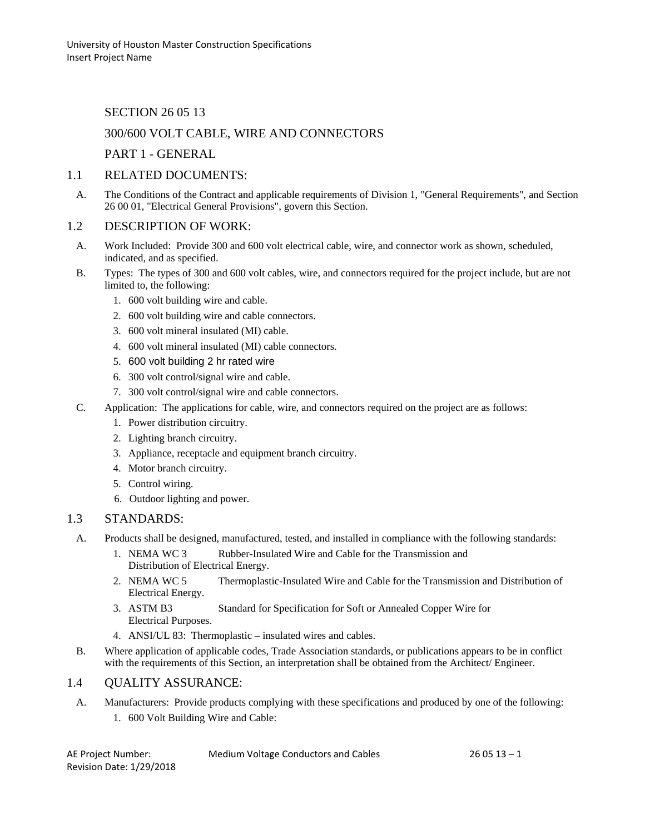#### SECTION 26 05 13

## 300/600 VOLT CABLE, WIRE AND CONNECTORS

PART 1 - GENERAL

#### 1.1 RELATED DOCUMENTS:

A. The Conditions of the Contract and applicable requirements of Division 1, "General Requirements", and Section 26 00 01, "Electrical General Provisions", govern this Section.

#### 1.2 DESCRIPTION OF WORK:

- A. Work Included: Provide 300 and 600 volt electrical cable, wire, and connector work as shown, scheduled, indicated, and as specified.
- B. Types: The types of 300 and 600 volt cables, wire, and connectors required for the project include, but are not limited to, the following:
	- 1. 600 volt building wire and cable.
	- 2. 600 volt building wire and cable connectors.
	- 3. 600 volt mineral insulated (MI) cable.
	- 4. 600 volt mineral insulated (MI) cable connectors.
	- 5. 600 volt building 2 hr rated wire
	- 6. 300 volt control/signal wire and cable.
	- 7. 300 volt control/signal wire and cable connectors.
- C. Application: The applications for cable, wire, and connectors required on the project are as follows:
	- 1. Power distribution circuitry.
	- 2. Lighting branch circuitry.
	- 3. Appliance, receptacle and equipment branch circuitry.
	- 4. Motor branch circuitry.
	- 5. Control wiring.
	- 6. Outdoor lighting and power.

#### 1.3 STANDARDS:

- A. Products shall be designed, manufactured, tested, and installed in compliance with the following standards:
	- 1. NEMA WC 3 Rubber-Insulated Wire and Cable for the Transmission and Distribution of Electrical Energy.
	- 2. NEMA WC 5 Thermoplastic-Insulated Wire and Cable for the Transmission and Distribution of Electrical Energy.
	- 3. ASTM B3 Standard for Specification for Soft or Annealed Copper Wire for Electrical Purposes.
	- 4. ANSI/UL 83: Thermoplastic insulated wires and cables.
- B. Where application of applicable codes, Trade Association standards, or publications appears to be in conflict with the requirements of this Section, an interpretation shall be obtained from the Architect/ Engineer.

#### 1.4 QUALITY ASSURANCE:

A. Manufacturers: Provide products complying with these specifications and produced by one of the following: 1. 600 Volt Building Wire and Cable:

| AE Project Number:       | Medium Voltage Conductors and Cables | $260513 - 1$ |
|--------------------------|--------------------------------------|--------------|
| Revision Date: 1/29/2018 |                                      |              |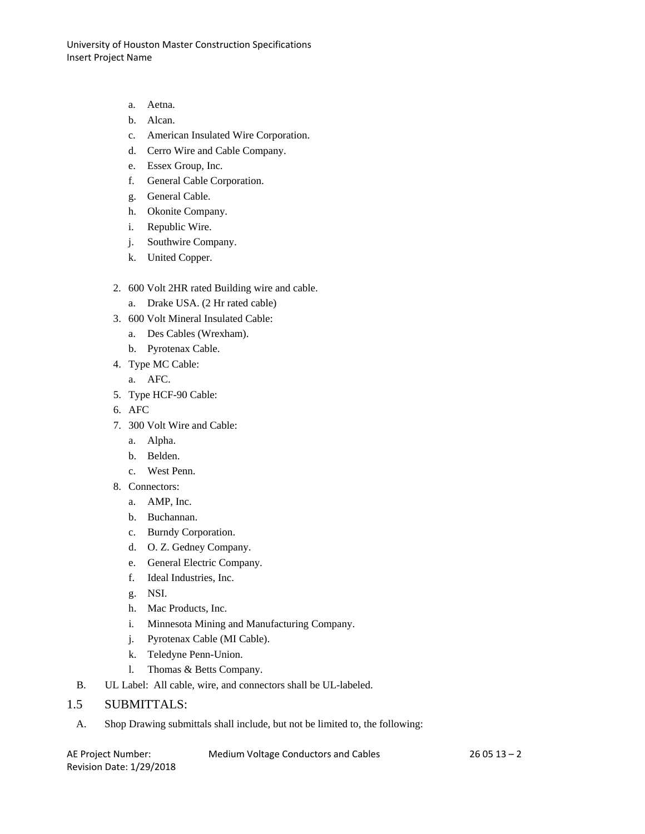- a. Aetna.
- b. Alcan.
- c. American Insulated Wire Corporation.
- d. Cerro Wire and Cable Company.
- e. Essex Group, Inc.
- f. General Cable Corporation.
- g. General Cable.
- h. Okonite Company.
- i. Republic Wire.
- j. Southwire Company.
- k. United Copper.
- 2. 600 Volt 2HR rated Building wire and cable.
	- a. Drake USA. (2 Hr rated cable)
- 3. 600 Volt Mineral Insulated Cable:
	- a. Des Cables (Wrexham).
	- b. Pyrotenax Cable.
- 4. Type MC Cable:
- a. AFC.
- 5. Type HCF-90 Cable:
- 6. AFC
- 7. 300 Volt Wire and Cable:
	- a. Alpha.
	- b. Belden.
	- c. West Penn.
- 8. Connectors:
	- a. AMP, Inc.
	- b. Buchannan.
	- c. Burndy Corporation.
	- d. O. Z. Gedney Company.
	- e. General Electric Company.
	- f. Ideal Industries, Inc.
	- g. NSI.
	- h. Mac Products, Inc.
	- i. Minnesota Mining and Manufacturing Company.
	- j. Pyrotenax Cable (MI Cable).
	- k. Teledyne Penn-Union.
	- l. Thomas & Betts Company.
- B. UL Label: All cable, wire, and connectors shall be UL-labeled.

#### 1.5 SUBMITTALS:

A. Shop Drawing submittals shall include, but not be limited to, the following:

```
AE Project Number: Medium Voltage Conductors and Cables 26 05 13 – 2
Revision Date: 1/29/2018
```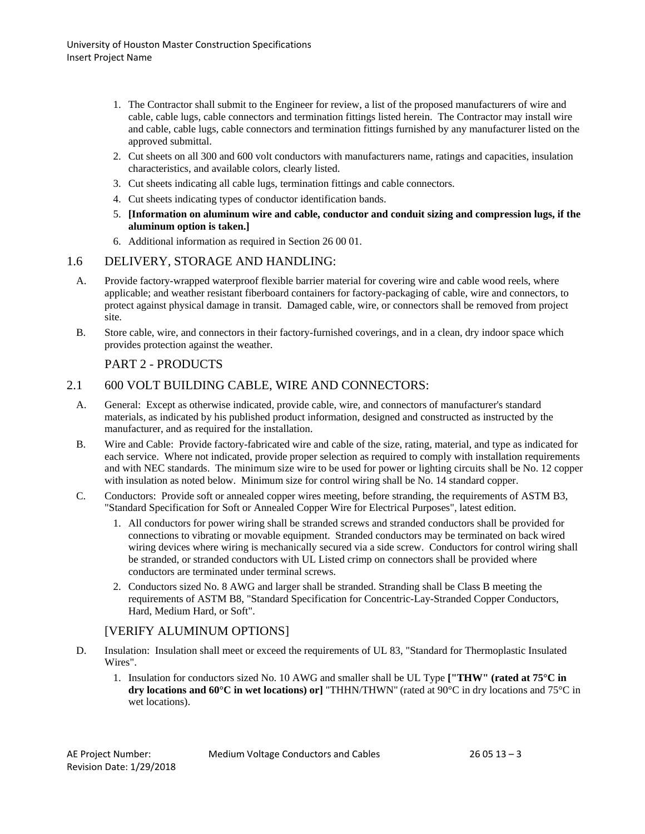- 1. The Contractor shall submit to the Engineer for review, a list of the proposed manufacturers of wire and cable, cable lugs, cable connectors and termination fittings listed herein. The Contractor may install wire and cable, cable lugs, cable connectors and termination fittings furnished by any manufacturer listed on the approved submittal.
- 2. Cut sheets on all 300 and 600 volt conductors with manufacturers name, ratings and capacities, insulation characteristics, and available colors, clearly listed.
- 3. Cut sheets indicating all cable lugs, termination fittings and cable connectors.
- 4. Cut sheets indicating types of conductor identification bands.
- 5. **[Information on aluminum wire and cable, conductor and conduit sizing and compression lugs, if the aluminum option is taken.]**
- 6. Additional information as required in Section 26 00 01.

## 1.6 DELIVERY, STORAGE AND HANDLING:

- A. Provide factory-wrapped waterproof flexible barrier material for covering wire and cable wood reels, where applicable; and weather resistant fiberboard containers for factory-packaging of cable, wire and connectors, to protect against physical damage in transit. Damaged cable, wire, or connectors shall be removed from project site.
- B. Store cable, wire, and connectors in their factory-furnished coverings, and in a clean, dry indoor space which provides protection against the weather.

## PART 2 - PRODUCTS

### 2.1 600 VOLT BUILDING CABLE, WIRE AND CONNECTORS:

- A. General: Except as otherwise indicated, provide cable, wire, and connectors of manufacturer's standard materials, as indicated by his published product information, designed and constructed as instructed by the manufacturer, and as required for the installation.
- B. Wire and Cable: Provide factory-fabricated wire and cable of the size, rating, material, and type as indicated for each service. Where not indicated, provide proper selection as required to comply with installation requirements and with NEC standards. The minimum size wire to be used for power or lighting circuits shall be No. 12 copper with insulation as noted below. Minimum size for control wiring shall be No. 14 standard copper.
- C. Conductors: Provide soft or annealed copper wires meeting, before stranding, the requirements of ASTM B3, "Standard Specification for Soft or Annealed Copper Wire for Electrical Purposes", latest edition.
	- 1. All conductors for power wiring shall be stranded screws and stranded conductors shall be provided for connections to vibrating or movable equipment. Stranded conductors may be terminated on back wired wiring devices where wiring is mechanically secured via a side screw. Conductors for control wiring shall be stranded, or stranded conductors with UL Listed crimp on connectors shall be provided where conductors are terminated under terminal screws.
	- 2. Conductors sized No. 8 AWG and larger shall be stranded. Stranding shall be Class B meeting the requirements of ASTM B8, "Standard Specification for Concentric-Lay-Stranded Copper Conductors, Hard, Medium Hard, or Soft".

## [VERIFY ALUMINUM OPTIONS]

- D. Insulation: Insulation shall meet or exceed the requirements of UL 83, "Standard for Thermoplastic Insulated Wires".
	- 1. Insulation for conductors sized No. 10 AWG and smaller shall be UL Type **["THW" (rated at 75°C in dry locations and 60°C in wet locations) or]** "THHN/THWN" (rated at 90°C in dry locations and 75°C in wet locations).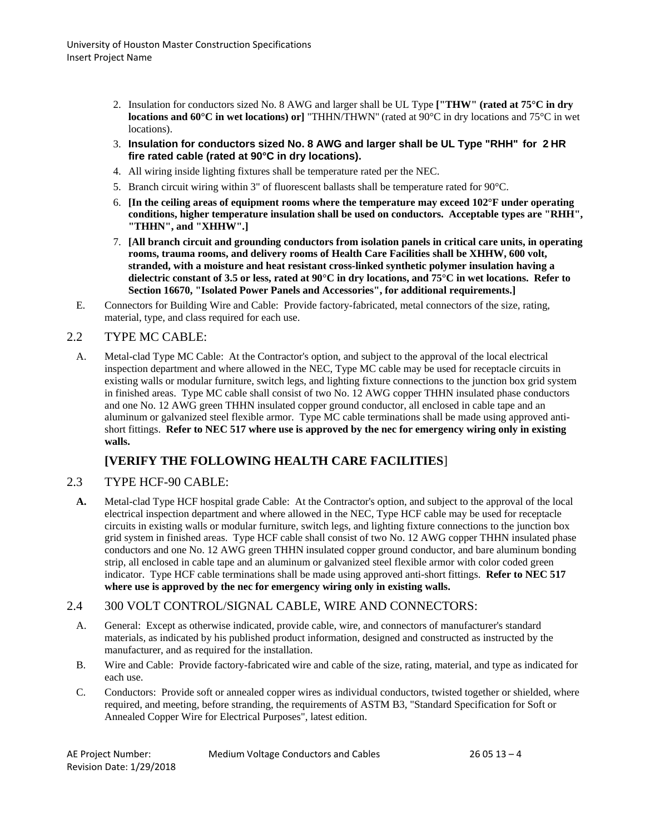- 2. Insulation for conductors sized No. 8 AWG and larger shall be UL Type **["THW" (rated at 75°C in dry locations and 60°C in wet locations) or]** "THHN/THWN" (rated at 90°C in dry locations and 75°C in wet locations).
- 3. **Insulation for conductors sized No. 8 AWG and larger shall be UL Type "RHH" for 2 HR fire rated cable (rated at 90°C in dry locations).**
- 4. All wiring inside lighting fixtures shall be temperature rated per the NEC.
- 5. Branch circuit wiring within 3" of fluorescent ballasts shall be temperature rated for 90°C.
- 6. **[In the ceiling areas of equipment rooms where the temperature may exceed 102°F under operating conditions, higher temperature insulation shall be used on conductors. Acceptable types are "RHH", "THHN", and "XHHW".]**
- 7. **[All branch circuit and grounding conductors from isolation panels in critical care units, in operating rooms, trauma rooms, and delivery rooms of Health Care Facilities shall be XHHW, 600 volt, stranded, with a moisture and heat resistant cross-linked synthetic polymer insulation having a dielectric constant of 3.5 or less, rated at 90°C in dry locations, and 75°C in wet locations. Refer to Section 16670, "Isolated Power Panels and Accessories", for additional requirements.]**
- E. Connectors for Building Wire and Cable: Provide factory-fabricated, metal connectors of the size, rating, material, type, and class required for each use.

#### 2.2 TYPE MC CABLE:

A. Metal-clad Type MC Cable: At the Contractor's option, and subject to the approval of the local electrical inspection department and where allowed in the NEC, Type MC cable may be used for receptacle circuits in existing walls or modular furniture, switch legs, and lighting fixture connections to the junction box grid system in finished areas. Type MC cable shall consist of two No. 12 AWG copper THHN insulated phase conductors and one No. 12 AWG green THHN insulated copper ground conductor, all enclosed in cable tape and an aluminum or galvanized steel flexible armor. Type MC cable terminations shall be made using approved antishort fittings. **Refer to NEC 517 where use is approved by the nec for emergency wiring only in existing walls.**

# **[VERIFY THE FOLLOWING HEALTH CARE FACILITIES**]

#### 2.3 TYPE HCF-90 CABLE:

**A.** Metal-clad Type HCF hospital grade Cable: At the Contractor's option, and subject to the approval of the local electrical inspection department and where allowed in the NEC, Type HCF cable may be used for receptacle circuits in existing walls or modular furniture, switch legs, and lighting fixture connections to the junction box grid system in finished areas. Type HCF cable shall consist of two No. 12 AWG copper THHN insulated phase conductors and one No. 12 AWG green THHN insulated copper ground conductor, and bare aluminum bonding strip, all enclosed in cable tape and an aluminum or galvanized steel flexible armor with color coded green indicator. Type HCF cable terminations shall be made using approved anti-short fittings. **Refer to NEC 517 where use is approved by the nec for emergency wiring only in existing walls.**

#### 2.4 300 VOLT CONTROL/SIGNAL CABLE, WIRE AND CONNECTORS:

- A. General: Except as otherwise indicated, provide cable, wire, and connectors of manufacturer's standard materials, as indicated by his published product information, designed and constructed as instructed by the manufacturer, and as required for the installation.
- B. Wire and Cable: Provide factory-fabricated wire and cable of the size, rating, material, and type as indicated for each use.
- C. Conductors: Provide soft or annealed copper wires as individual conductors, twisted together or shielded, where required, and meeting, before stranding, the requirements of ASTM B3, "Standard Specification for Soft or Annealed Copper Wire for Electrical Purposes", latest edition.

AE Project Number: Medium Voltage Conductors and Cables 26 05 13 – 4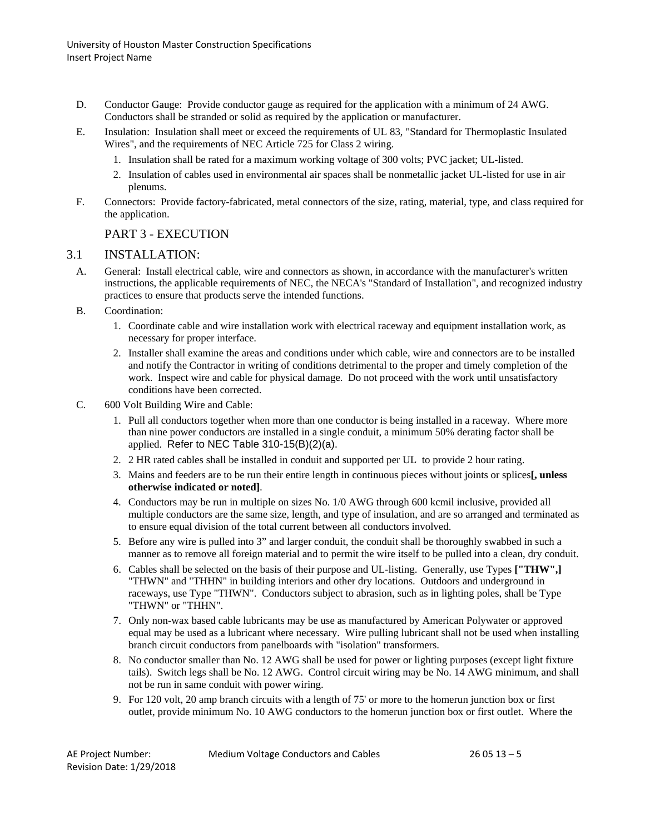- D. Conductor Gauge: Provide conductor gauge as required for the application with a minimum of 24 AWG. Conductors shall be stranded or solid as required by the application or manufacturer.
- E. Insulation: Insulation shall meet or exceed the requirements of UL 83, "Standard for Thermoplastic Insulated Wires", and the requirements of NEC Article 725 for Class 2 wiring.
	- 1. Insulation shall be rated for a maximum working voltage of 300 volts; PVC jacket; UL-listed.
	- 2. Insulation of cables used in environmental air spaces shall be nonmetallic jacket UL-listed for use in air plenums.
- F. Connectors: Provide factory-fabricated, metal connectors of the size, rating, material, type, and class required for the application.

## PART 3 - EXECUTION

### 3.1 INSTALLATION:

- A. General: Install electrical cable, wire and connectors as shown, in accordance with the manufacturer's written instructions, the applicable requirements of NEC, the NECA's "Standard of Installation", and recognized industry practices to ensure that products serve the intended functions.
- B. Coordination:
	- 1. Coordinate cable and wire installation work with electrical raceway and equipment installation work, as necessary for proper interface.
	- 2. Installer shall examine the areas and conditions under which cable, wire and connectors are to be installed and notify the Contractor in writing of conditions detrimental to the proper and timely completion of the work. Inspect wire and cable for physical damage. Do not proceed with the work until unsatisfactory conditions have been corrected.
- C. 600 Volt Building Wire and Cable:
	- 1. Pull all conductors together when more than one conductor is being installed in a raceway. Where more than nine power conductors are installed in a single conduit, a minimum 50% derating factor shall be applied. Refer to NEC Table 310-15(B)(2)(a).
	- 2. 2 HR rated cables shall be installed in conduit and supported per UL to provide 2 hour rating.
	- 3. Mains and feeders are to be run their entire length in continuous pieces without joints or splices**[, unless otherwise indicated or noted]**.
	- 4. Conductors may be run in multiple on sizes No. 1/0 AWG through 600 kcmil inclusive, provided all multiple conductors are the same size, length, and type of insulation, and are so arranged and terminated as to ensure equal division of the total current between all conductors involved.
	- 5. Before any wire is pulled into 3" and larger conduit, the conduit shall be thoroughly swabbed in such a manner as to remove all foreign material and to permit the wire itself to be pulled into a clean, dry conduit.
	- 6. Cables shall be selected on the basis of their purpose and UL-listing. Generally, use Types **["THW",]** "THWN" and "THHN" in building interiors and other dry locations. Outdoors and underground in raceways, use Type "THWN". Conductors subject to abrasion, such as in lighting poles, shall be Type "THWN" or "THHN".
	- 7. Only non-wax based cable lubricants may be use as manufactured by American Polywater or approved equal may be used as a lubricant where necessary. Wire pulling lubricant shall not be used when installing branch circuit conductors from panelboards with "isolation" transformers.
	- 8. No conductor smaller than No. 12 AWG shall be used for power or lighting purposes (except light fixture tails). Switch legs shall be No. 12 AWG. Control circuit wiring may be No. 14 AWG minimum, and shall not be run in same conduit with power wiring.
	- 9. For 120 volt, 20 amp branch circuits with a length of 75' or more to the homerun junction box or first outlet, provide minimum No. 10 AWG conductors to the homerun junction box or first outlet. Where the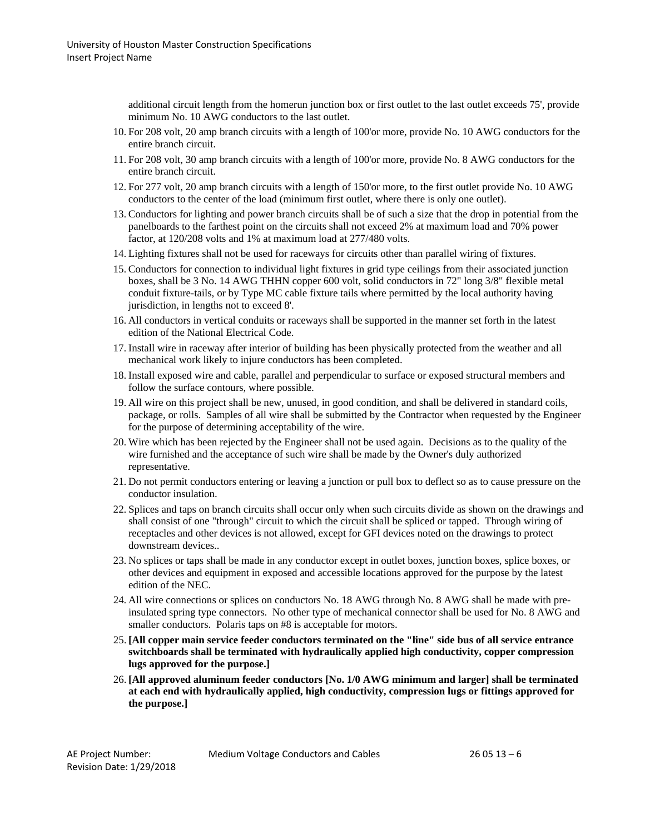additional circuit length from the homerun junction box or first outlet to the last outlet exceeds 75', provide minimum No. 10 AWG conductors to the last outlet.

- 10. For 208 volt, 20 amp branch circuits with a length of 100'or more, provide No. 10 AWG conductors for the entire branch circuit.
- 11. For 208 volt, 30 amp branch circuits with a length of 100'or more, provide No. 8 AWG conductors for the entire branch circuit.
- 12. For 277 volt, 20 amp branch circuits with a length of 150'or more, to the first outlet provide No. 10 AWG conductors to the center of the load (minimum first outlet, where there is only one outlet).
- 13. Conductors for lighting and power branch circuits shall be of such a size that the drop in potential from the panelboards to the farthest point on the circuits shall not exceed 2% at maximum load and 70% power factor, at 120/208 volts and 1% at maximum load at 277/480 volts.
- 14. Lighting fixtures shall not be used for raceways for circuits other than parallel wiring of fixtures.
- 15. Conductors for connection to individual light fixtures in grid type ceilings from their associated junction boxes, shall be 3 No. 14 AWG THHN copper 600 volt, solid conductors in 72" long 3/8" flexible metal conduit fixture-tails, or by Type MC cable fixture tails where permitted by the local authority having jurisdiction, in lengths not to exceed 8'.
- 16. All conductors in vertical conduits or raceways shall be supported in the manner set forth in the latest edition of the National Electrical Code.
- 17. Install wire in raceway after interior of building has been physically protected from the weather and all mechanical work likely to injure conductors has been completed.
- 18. Install exposed wire and cable, parallel and perpendicular to surface or exposed structural members and follow the surface contours, where possible.
- 19. All wire on this project shall be new, unused, in good condition, and shall be delivered in standard coils, package, or rolls. Samples of all wire shall be submitted by the Contractor when requested by the Engineer for the purpose of determining acceptability of the wire.
- 20. Wire which has been rejected by the Engineer shall not be used again. Decisions as to the quality of the wire furnished and the acceptance of such wire shall be made by the Owner's duly authorized representative.
- 21. Do not permit conductors entering or leaving a junction or pull box to deflect so as to cause pressure on the conductor insulation.
- 22. Splices and taps on branch circuits shall occur only when such circuits divide as shown on the drawings and shall consist of one "through" circuit to which the circuit shall be spliced or tapped. Through wiring of receptacles and other devices is not allowed, except for GFI devices noted on the drawings to protect downstream devices..
- 23. No splices or taps shall be made in any conductor except in outlet boxes, junction boxes, splice boxes, or other devices and equipment in exposed and accessible locations approved for the purpose by the latest edition of the NEC.
- 24. All wire connections or splices on conductors No. 18 AWG through No. 8 AWG shall be made with preinsulated spring type connectors. No other type of mechanical connector shall be used for No. 8 AWG and smaller conductors. Polaris taps on #8 is acceptable for motors.
- 25. **[All copper main service feeder conductors terminated on the "line" side bus of all service entrance switchboards shall be terminated with hydraulically applied high conductivity, copper compression lugs approved for the purpose.]**
- 26. **[All approved aluminum feeder conductors [No. 1/0 AWG minimum and larger] shall be terminated at each end with hydraulically applied, high conductivity, compression lugs or fittings approved for the purpose.]**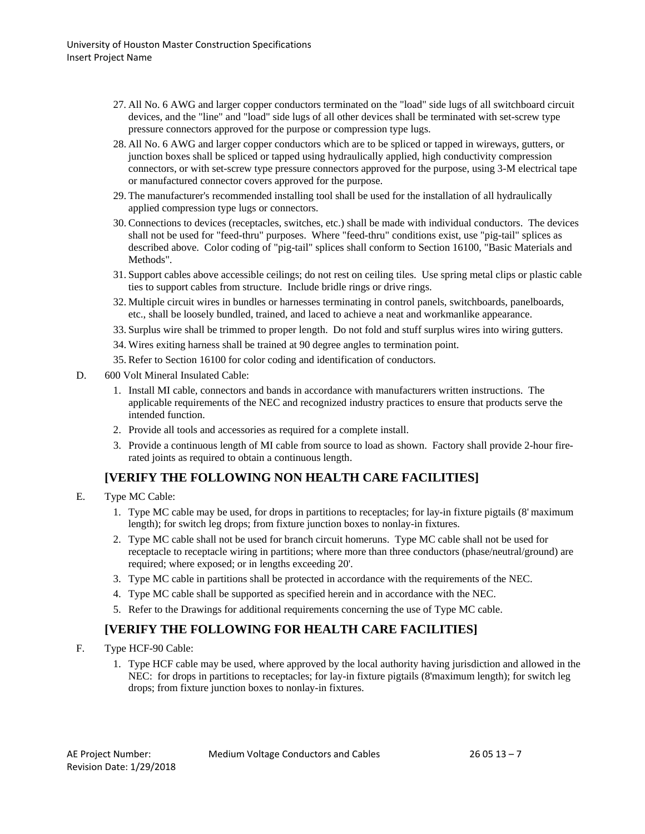- 27. All No. 6 AWG and larger copper conductors terminated on the "load" side lugs of all switchboard circuit devices, and the "line" and "load" side lugs of all other devices shall be terminated with set-screw type pressure connectors approved for the purpose or compression type lugs.
- 28. All No. 6 AWG and larger copper conductors which are to be spliced or tapped in wireways, gutters, or junction boxes shall be spliced or tapped using hydraulically applied, high conductivity compression connectors, or with set-screw type pressure connectors approved for the purpose, using 3-M electrical tape or manufactured connector covers approved for the purpose.
- 29. The manufacturer's recommended installing tool shall be used for the installation of all hydraulically applied compression type lugs or connectors.
- 30. Connections to devices (receptacles, switches, etc.) shall be made with individual conductors. The devices shall not be used for "feed-thru" purposes. Where "feed-thru" conditions exist, use "pig-tail" splices as described above. Color coding of "pig-tail" splices shall conform to Section 16100, "Basic Materials and Methods".
- 31. Support cables above accessible ceilings; do not rest on ceiling tiles. Use spring metal clips or plastic cable ties to support cables from structure. Include bridle rings or drive rings.
- 32. Multiple circuit wires in bundles or harnesses terminating in control panels, switchboards, panelboards, etc., shall be loosely bundled, trained, and laced to achieve a neat and workmanlike appearance.
- 33. Surplus wire shall be trimmed to proper length. Do not fold and stuff surplus wires into wiring gutters.
- 34. Wires exiting harness shall be trained at 90 degree angles to termination point.
- 35. Refer to Section 16100 for color coding and identification of conductors.
- D. 600 Volt Mineral Insulated Cable:
	- 1. Install MI cable, connectors and bands in accordance with manufacturers written instructions. The applicable requirements of the NEC and recognized industry practices to ensure that products serve the intended function.
	- 2. Provide all tools and accessories as required for a complete install.
	- 3. Provide a continuous length of MI cable from source to load as shown. Factory shall provide 2-hour firerated joints as required to obtain a continuous length.

# **[VERIFY THE FOLLOWING NON HEALTH CARE FACILITIES]**

- E. Type MC Cable:
	- 1. Type MC cable may be used, for drops in partitions to receptacles; for lay-in fixture pigtails (8' maximum length); for switch leg drops; from fixture junction boxes to nonlay-in fixtures.
	- 2. Type MC cable shall not be used for branch circuit homeruns. Type MC cable shall not be used for receptacle to receptacle wiring in partitions; where more than three conductors (phase/neutral/ground) are required; where exposed; or in lengths exceeding 20'.
	- 3. Type MC cable in partitions shall be protected in accordance with the requirements of the NEC.
	- 4. Type MC cable shall be supported as specified herein and in accordance with the NEC.
	- 5. Refer to the Drawings for additional requirements concerning the use of Type MC cable.

# **[VERIFY THE FOLLOWING FOR HEALTH CARE FACILITIES]**

- F. Type HCF-90 Cable:
	- 1. Type HCF cable may be used, where approved by the local authority having jurisdiction and allowed in the NEC: for drops in partitions to receptacles; for lay-in fixture pigtails (8'maximum length); for switch leg drops; from fixture junction boxes to nonlay-in fixtures.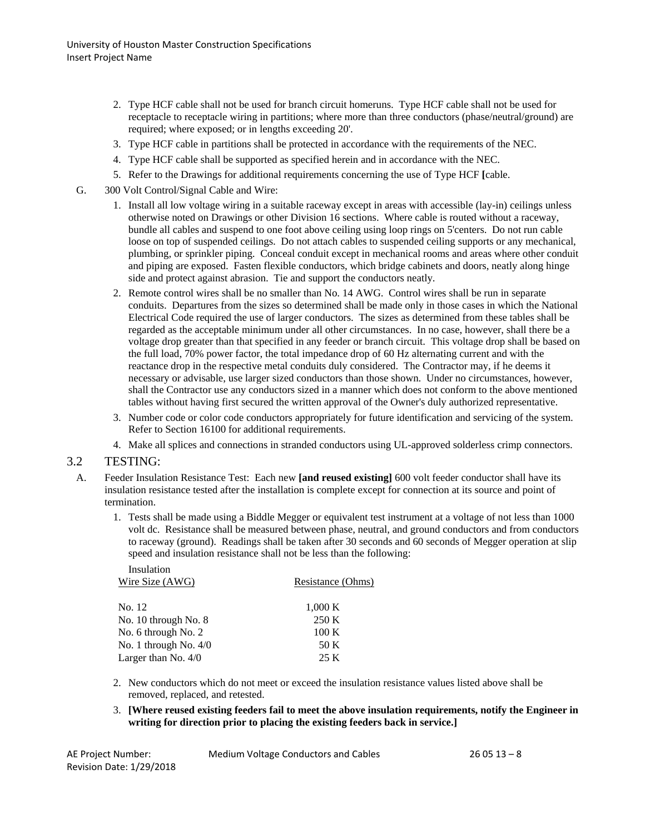- 2. Type HCF cable shall not be used for branch circuit homeruns. Type HCF cable shall not be used for receptacle to receptacle wiring in partitions; where more than three conductors (phase/neutral/ground) are required; where exposed; or in lengths exceeding 20'.
- 3. Type HCF cable in partitions shall be protected in accordance with the requirements of the NEC.
- 4. Type HCF cable shall be supported as specified herein and in accordance with the NEC.
- 5. Refer to the Drawings for additional requirements concerning the use of Type HCF **[**cable.
- G. 300 Volt Control/Signal Cable and Wire:
	- 1. Install all low voltage wiring in a suitable raceway except in areas with accessible (lay-in) ceilings unless otherwise noted on Drawings or other Division 16 sections. Where cable is routed without a raceway, bundle all cables and suspend to one foot above ceiling using loop rings on 5'centers. Do not run cable loose on top of suspended ceilings. Do not attach cables to suspended ceiling supports or any mechanical, plumbing, or sprinkler piping. Conceal conduit except in mechanical rooms and areas where other conduit and piping are exposed. Fasten flexible conductors, which bridge cabinets and doors, neatly along hinge side and protect against abrasion. Tie and support the conductors neatly.
	- 2. Remote control wires shall be no smaller than No. 14 AWG. Control wires shall be run in separate conduits. Departures from the sizes so determined shall be made only in those cases in which the National Electrical Code required the use of larger conductors. The sizes as determined from these tables shall be regarded as the acceptable minimum under all other circumstances. In no case, however, shall there be a voltage drop greater than that specified in any feeder or branch circuit. This voltage drop shall be based on the full load, 70% power factor, the total impedance drop of 60 Hz alternating current and with the reactance drop in the respective metal conduits duly considered. The Contractor may, if he deems it necessary or advisable, use larger sized conductors than those shown. Under no circumstances, however, shall the Contractor use any conductors sized in a manner which does not conform to the above mentioned tables without having first secured the written approval of the Owner's duly authorized representative.
	- 3. Number code or color code conductors appropriately for future identification and servicing of the system. Refer to Section 16100 for additional requirements.
	- 4. Make all splices and connections in stranded conductors using UL-approved solderless crimp connectors.

#### 3.2 TESTING:

- A. Feeder Insulation Resistance Test: Each new **[and reused existing]** 600 volt feeder conductor shall have its insulation resistance tested after the installation is complete except for connection at its source and point of termination.
	- 1. Tests shall be made using a Biddle Megger or equivalent test instrument at a voltage of not less than 1000 volt dc. Resistance shall be measured between phase, neutral, and ground conductors and from conductors to raceway (ground). Readings shall be taken after 30 seconds and 60 seconds of Megger operation at slip speed and insulation resistance shall not be less than the following:

| Insulation<br>Wire Size (AWG) | Resistance (Ohms) |
|-------------------------------|-------------------|
| No. 12                        | 1,000K            |
| No. 10 through No. 8          | 250 K             |
| No. 6 through No. 2           | 100K              |
| No. 1 through No. $4/0$       | 50 K              |
| Larger than No. $4/0$         | 25 K              |

- 2. New conductors which do not meet or exceed the insulation resistance values listed above shall be removed, replaced, and retested.
- 3. **[Where reused existing feeders fail to meet the above insulation requirements, notify the Engineer in writing for direction prior to placing the existing feeders back in service.]**

Revision Date: 1/29/2018

AE Project Number: Medium Voltage Conductors and Cables 26 05 13 – 8